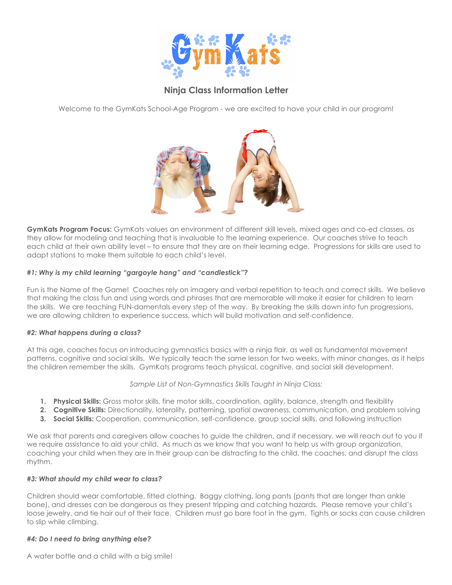

# **Ninja Class Information Letter**

Welcome to the GymKats School-Age Program - we are excited to have your child in our program!



**GymKats Program Focus:** GymKats values an environment of different skill levels, mixed ages and co-ed classes, as they allow for modeling and teaching that is invaluable to the learning experience. Our coaches strive to teach each child at their own ability level – to ensure that they are on their learning edge. Progressions for skills are used to adapt stations to make them suitable to each child's level.

## *#1: Why is my child learning "gargoyle hang" and "candlestick"?*

Fun is the Name of the Game! Coaches rely on imagery and verbal repetition to teach and correct skills. We believe that making the class fun and using words and phrases that are memorable will make it easier for children to learn the skills. We are teaching FUN-damentals every step of the way. By breaking the skills down into fun progressions, we are allowing children to experience success, which will build motivation and self-confidence.

## *#2: What happens during a class?*

At this age, coaches focus on introducing gymnastics basics with a ninja flair, as well as fundamental movement patterns, cognitive and social skills. We typically teach the same lesson for two weeks, with minor changes, as it helps the children remember the skills. GymKats programs teach physical, cognitive, and social skill development.

## *Sample List of Non-Gymnastics Skills Taught in Ninja Class:*

- **1. Physical Skills:** Gross motor skills, fine motor skills, coordination, agility, balance, strength and flexibility
- **2. Cognitive Skills:** Directionality, laterality, patterning, spatial awareness, communication, and problem solving
- **3. Social Skills:** Cooperation, communication, self-confidence, group social skills, and following instruction

We ask that parents and caregivers allow coaches to guide the children, and if necessary, we will reach out to you if we require assistance to aid your child. As much as we know that you want to help us with group organization, coaching your child when they are in their group can be distracting to the child, the coaches, and disrupt the class rhythm.

## *#3: What should my child wear to class?*

Children should wear comfortable, fitted clothing. Baggy clothing, long pants (pants that are longer than ankle bone), and dresses can be dangerous as they present tripping and catching hazards. Please remove your child's loose jewelry, and tie hair out of their face. Children must go bare foot in the gym. Tights or socks can cause children to slip while climbing.

## *#4: Do I need to bring anything else?*

A water bottle and a child with a big smile!